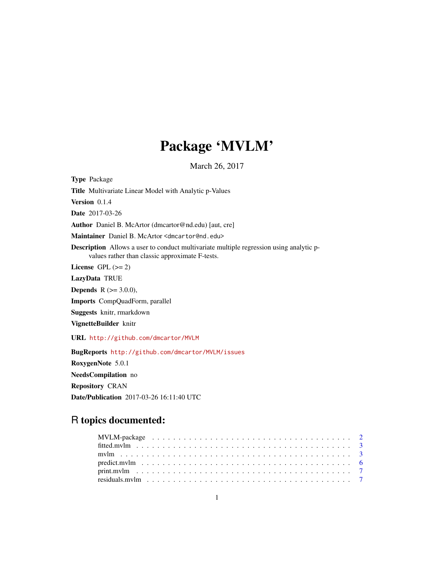# Package 'MVLM'

March 26, 2017

<span id="page-0-0"></span>Type Package Title Multivariate Linear Model with Analytic p-Values Version 0.1.4 Date 2017-03-26 Author Daniel B. McArtor (dmcartor@nd.edu) [aut, cre] Maintainer Daniel B. McArtor <dmcartor@nd.edu> Description Allows a user to conduct multivariate multiple regression using analytic pvalues rather than classic approximate F-tests. License GPL  $(>= 2)$ LazyData TRUE **Depends** R  $(>= 3.0.0)$ , Imports CompQuadForm, parallel Suggests knitr, rmarkdown VignetteBuilder knitr URL <http://github.com/dmcartor/MVLM> BugReports <http://github.com/dmcartor/MVLM/issues> RoxygenNote 5.0.1 NeedsCompilation no

Repository CRAN Date/Publication 2017-03-26 16:11:40 UTC

## R topics documented: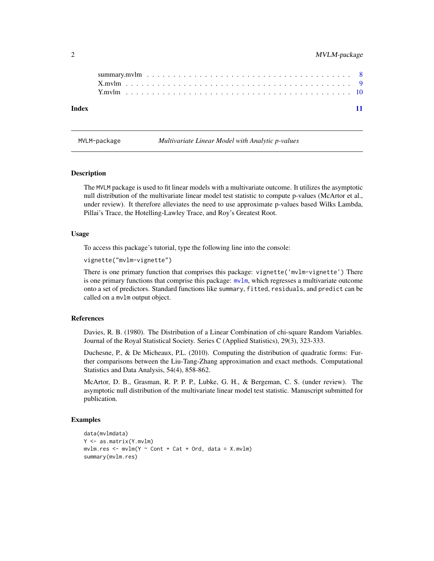| Index |  |  |  |  |  |  |  |  |  |  |  |  |  |  |  |  |  |  |  |
|-------|--|--|--|--|--|--|--|--|--|--|--|--|--|--|--|--|--|--|--|
|       |  |  |  |  |  |  |  |  |  |  |  |  |  |  |  |  |  |  |  |
|       |  |  |  |  |  |  |  |  |  |  |  |  |  |  |  |  |  |  |  |
|       |  |  |  |  |  |  |  |  |  |  |  |  |  |  |  |  |  |  |  |

MVLM-package *Multivariate Linear Model with Analytic p-values*

#### **Description**

The MVLM package is used to fit linear models with a multivariate outcome. It utilizes the asymptotic null distribution of the multivariate linear model test statistic to compute p-values (McArtor et al., under review). It therefore alleviates the need to use approximate p-values based Wilks Lambda, Pillai's Trace, the Hotelling-Lawley Trace, and Roy's Greatest Root.

#### Usage

To access this package's tutorial, type the following line into the console:

```
vignette("mvlm-vignette")
```
There is one primary function that comprises this package: vignette('mvlm-vignette') There is one primary functions that comprise this package: [mvlm](#page-2-1), which regresses a multivariate outcome onto a set of predictors. Standard functions like summary, fitted, residuals, and predict can be called on a mvlm output object.

#### References

Davies, R. B. (1980). The Distribution of a Linear Combination of chi-square Random Variables. Journal of the Royal Statistical Society. Series C (Applied Statistics), 29(3), 323-333.

Duchesne, P., & De Micheaux, P.L. (2010). Computing the distribution of quadratic forms: Further comparisons between the Liu-Tang-Zhang approximation and exact methods. Computational Statistics and Data Analysis, 54(4), 858-862.

McArtor, D. B., Grasman, R. P. P. P., Lubke, G. H., & Bergeman, C. S. (under review). The asymptotic null distribution of the multivariate linear model test statistic. Manuscript submitted for publication.

#### Examples

```
data(mvlmdata)
Y <- as.matrix(Y.mvlm)
mvlmres < -mvlm(Y \sim Cont + Cat + Ord, data = X.mvlm)summary(mvlm.res)
```
<span id="page-1-0"></span>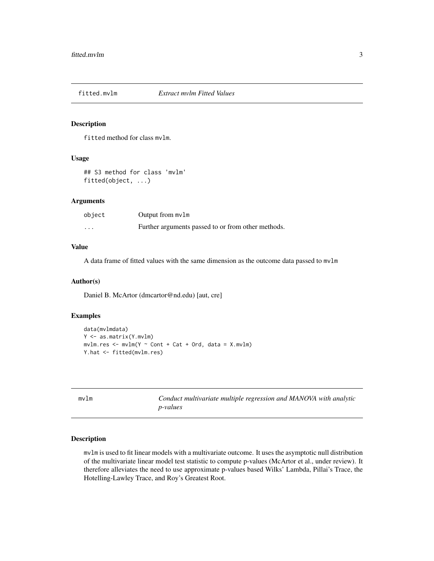<span id="page-2-0"></span>

#### Description

fitted method for class mvlm.

#### Usage

## S3 method for class 'mvlm' fitted(object, ...)

#### Arguments

| object | Output from $mvlm$                                 |
|--------|----------------------------------------------------|
| .      | Further arguments passed to or from other methods. |

#### Value

A data frame of fitted values with the same dimension as the outcome data passed to mvlm

#### Author(s)

Daniel B. McArtor (dmcartor@nd.edu) [aut, cre]

#### Examples

```
data(mvlmdata)
Y <- as.matrix(Y.mvlm)
mvlmres < - mvlm(Y ~ ~ Cont ~ + Cat ~ + Ord, data = X.mvlm)Y.hat <- fitted(mvlm.res)
```
<span id="page-2-1"></span>

| m∨lm | Conduct multivariate multiple regression and MANOVA with analytic |
|------|-------------------------------------------------------------------|
|      | <i>p</i> -values                                                  |

#### Description

mvlm is used to fit linear models with a multivariate outcome. It uses the asymptotic null distribution of the multivariate linear model test statistic to compute p-values (McArtor et al., under review). It therefore alleviates the need to use approximate p-values based Wilks' Lambda, Pillai's Trace, the Hotelling-Lawley Trace, and Roy's Greatest Root.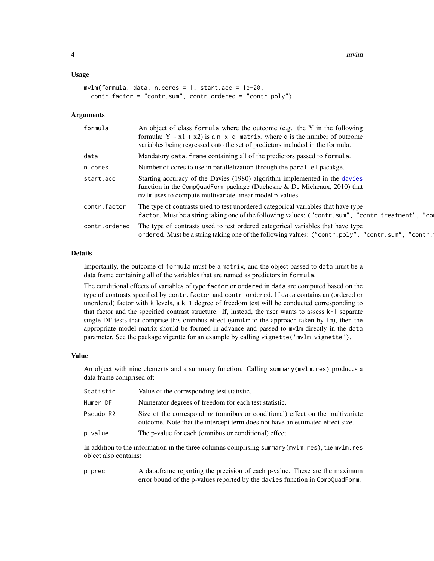#### <span id="page-3-0"></span>Usage

```
mvlm(formula, data, n.cores = 1, start.acc = 1e-20,
 contr.factor = "contr.sum", contr.ordered = "contr.poly")
```
#### Arguments

| formula       | An object of class formula where the outcome (e.g. the Y in the following<br>formula: $Y \sim x1 + x2$ ) is a n x q matrix, where q is the number of outcome<br>variables being regressed onto the set of predictors included in the formula. |
|---------------|-----------------------------------------------------------------------------------------------------------------------------------------------------------------------------------------------------------------------------------------------|
| data          | Mandatory data. frame containing all of the predictors passed to formula.                                                                                                                                                                     |
| n.cores       | Number of cores to use in parallelization through the parallel pacakge.                                                                                                                                                                       |
| start.acc     | Starting accuracy of the Davies (1980) algorithm implemented in the davies<br>function in the CompQuadForm package (Duchesne $\&$ De Micheaux, 2010) that<br>mvlm uses to compute multivariate linear model p-values.                         |
| contr.factor  | The type of contrasts used to test unordered categorical variables that have type<br>factor. Must be a string taking one of the following values: ("contr.sum", "contr.treatment", "co                                                        |
| contr.ordered | The type of contrasts used to test ordered categorical variables that have type<br>ordered. Must be a string taking one of the following values: ("contr.poly", "contr.sum", "contr.                                                          |

#### Details

Importantly, the outcome of formula must be a matrix, and the object passed to data must be a data frame containing all of the variables that are named as predictors in formula.

The conditional effects of variables of type factor or ordered in data are computed based on the type of contrasts specified by contr.factor and contr.ordered. If data contains an (ordered or unordered) factor with k levels, a k-1 degree of freedom test will be conducted corresponding to that factor and the specified contrast structure. If, instead, the user wants to assess k-1 separate single DF tests that comprise this omnibus effect (similar to the approach taken by lm), then the appropriate model matrix should be formed in advance and passed to mvlm directly in the data parameter. See the package vigentte for an example by calling vignette('mvlm-vignette').

#### Value

An object with nine elements and a summary function. Calling summary(mvlm.res) produces a data frame comprised of:

| Statistic | Value of the corresponding test statistic.                                                                                                                     |
|-----------|----------------------------------------------------------------------------------------------------------------------------------------------------------------|
| Numer DF  | Numerator degrees of freedom for each test statistic.                                                                                                          |
| Pseudo R2 | Size of the corresponding (omnibus or conditional) effect on the multivariate<br>outcome. Note that the intercept term does not have an estimated effect size. |
| p-value   | The p-value for each (omnibus or conditional) effect.                                                                                                          |

In addition to the information in the three columns comprising summary(mvlm.res), the mvlm.res object also contains:

p.prec A data.frame reporting the precision of each p-value. These are the maximum error bound of the p-values reported by the davies function in CompQuadForm.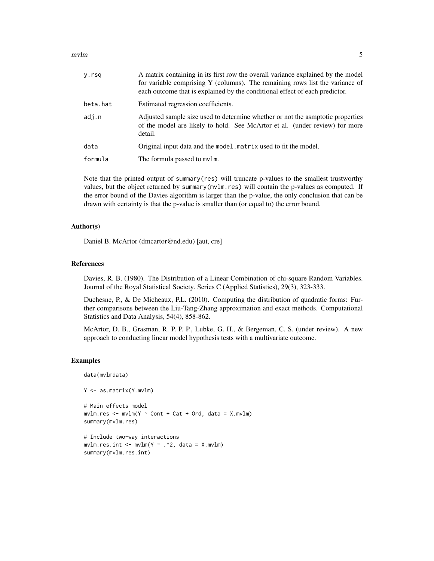$mvlm$  5

| y.rsq    | A matrix containing in its first row the overall variance explained by the model<br>for variable comprising Y (columns). The remaining rows list the variance of<br>each outcome that is explained by the conditional effect of each predictor. |
|----------|-------------------------------------------------------------------------------------------------------------------------------------------------------------------------------------------------------------------------------------------------|
| beta.hat | Estimated regression coefficients.                                                                                                                                                                                                              |
| adj.n    | Adjusted sample size used to determine whether or not the asmptotic properties<br>of the model are likely to hold. See McArtor et al. (under review) for more<br>detail.                                                                        |
| data     | Original input data and the model. matrix used to fit the model.                                                                                                                                                                                |
| formula  | The formula passed to mvlm.                                                                                                                                                                                                                     |
|          |                                                                                                                                                                                                                                                 |

Note that the printed output of summary(res) will truncate p-values to the smallest trustworthy values, but the object returned by summary(mvlm.res) will contain the p-values as computed. If the error bound of the Davies algorithm is larger than the p-value, the only conclusion that can be drawn with certainty is that the p-value is smaller than (or equal to) the error bound.

#### Author(s)

Daniel B. McArtor (dmcartor@nd.edu) [aut, cre]

#### References

Davies, R. B. (1980). The Distribution of a Linear Combination of chi-square Random Variables. Journal of the Royal Statistical Society. Series C (Applied Statistics), 29(3), 323-333.

Duchesne, P., & De Micheaux, P.L. (2010). Computing the distribution of quadratic forms: Further comparisons between the Liu-Tang-Zhang approximation and exact methods. Computational Statistics and Data Analysis, 54(4), 858-862.

McArtor, D. B., Grasman, R. P. P. P., Lubke, G. H., & Bergeman, C. S. (under review). A new approach to conducting linear model hypothesis tests with a multivariate outcome.

#### Examples

data(mvlmdata)

```
Y <- as.matrix(Y.mvlm)
```

```
# Main effects model
mvlmres < -mvlm(Y \sim Cont + Cat + Ord, data = X.mvlm)summary(mvlm.res)
```

```
# Include two-way interactions
mvlm.res.int < - mvlm(Y ~ ~ . ~ ^2, data = X.mvlm)summary(mvlm.res.int)
```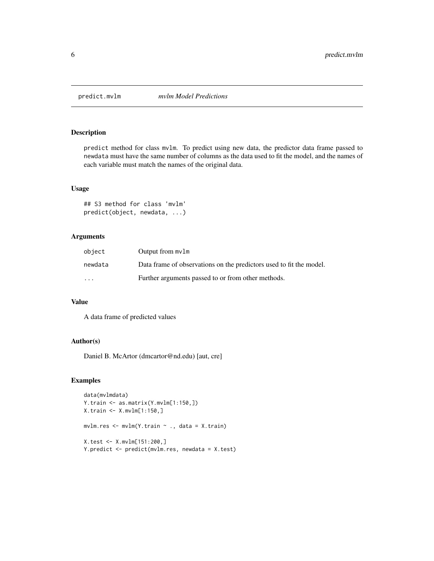<span id="page-5-0"></span>

#### Description

predict method for class mvlm. To predict using new data, the predictor data frame passed to newdata must have the same number of columns as the data used to fit the model, and the names of each variable must match the names of the original data.

#### Usage

## S3 method for class 'mvlm' predict(object, newdata, ...)

#### Arguments

| object                  | Output from mv1m                                                    |
|-------------------------|---------------------------------------------------------------------|
| newdata                 | Data frame of observations on the predictors used to fit the model. |
| $\cdot$ $\cdot$ $\cdot$ | Further arguments passed to or from other methods.                  |

#### Value

A data frame of predicted values

#### Author(s)

Daniel B. McArtor (dmcartor@nd.edu) [aut, cre]

#### Examples

```
data(mvlmdata)
Y.train <- as.matrix(Y.mvlm[1:150,])
X.train <- X.mvlm[1:150,]
mvlm.res <- mvlm(Y.train ~ ., data = X.train)
X.test <- X.mvlm[151:200,]
Y.predict <- predict(mvlm.res, newdata = X.test)
```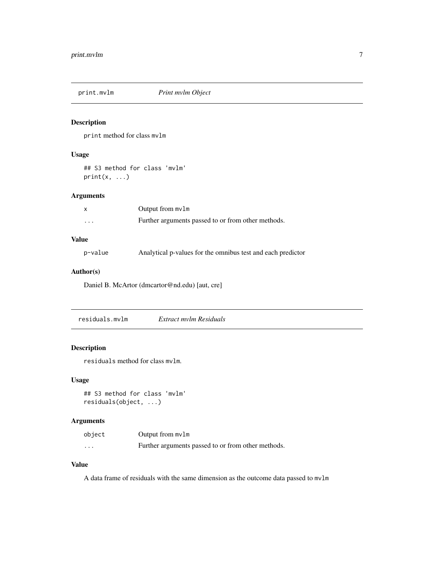<span id="page-6-0"></span>

#### Description

print method for class mvlm

#### Usage

## S3 method for class 'mvlm'  $print(x, \ldots)$ 

#### Arguments

|          | Output from $mvlm$                                 |
|----------|----------------------------------------------------|
| $\cdots$ | Further arguments passed to or from other methods. |

#### Value

p-value Analytical p-values for the omnibus test and each predictor

#### Author(s)

Daniel B. McArtor (dmcartor@nd.edu) [aut, cre]

residuals.mvlm *Extract mvlm Residuals*

#### Description

residuals method for class mvlm.

#### Usage

## S3 method for class 'mvlm' residuals(object, ...)

#### Arguments

| object   | Output from $mvlm$                                 |
|----------|----------------------------------------------------|
| $\cdots$ | Further arguments passed to or from other methods. |

#### Value

A data frame of residuals with the same dimension as the outcome data passed to mvlm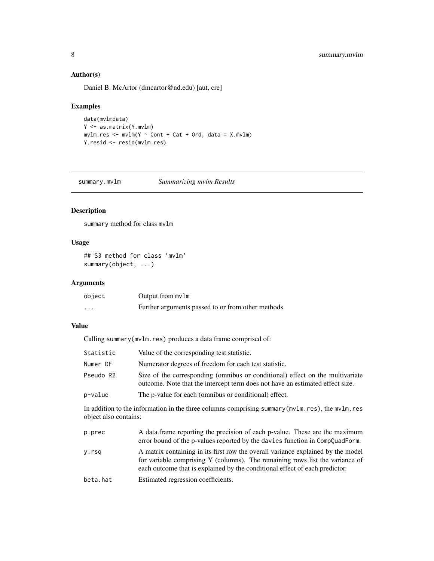#### Author(s)

Daniel B. McArtor (dmcartor@nd.edu) [aut, cre]

#### Examples

```
data(mvlmdata)
Y <- as.matrix(Y.mvlm)
mvlm,res < - mvlm(Y ~ ~ Cont ~ + Cat ~ + Ord, data = X.mvlm)Y.resid <- resid(mvlm.res)
```
summary.mvlm *Summarizing mvlm Results*

#### Description

summary method for class mvlm

#### Usage

```
## S3 method for class 'mvlm'
summary(object, ...)
```
#### Arguments

| object | Output from $mvlm$                                 |
|--------|----------------------------------------------------|
| .      | Further arguments passed to or from other methods. |

#### Value

Calling summary(mvlm.res) produces a data frame comprised of:

| Statistic | Value of the corresponding test statistic.                                                                                                                     |
|-----------|----------------------------------------------------------------------------------------------------------------------------------------------------------------|
| Numer DF  | Numerator degrees of freedom for each test statistic.                                                                                                          |
| Pseudo R2 | Size of the corresponding (omnibus or conditional) effect on the multivariate<br>outcome. Note that the intercept term does not have an estimated effect size. |
| p-value   | The p-value for each (omnibus or conditional) effect.                                                                                                          |

In addition to the information in the three columns comprising summary(mvlm.res), the mvlm.res object also contains:

| p.prec   | A data frame reporting the precision of each p-value. These are the maximum<br>error bound of the p-values reported by the davies function in CompQuadForm.                                                                                     |
|----------|-------------------------------------------------------------------------------------------------------------------------------------------------------------------------------------------------------------------------------------------------|
| y.rsq    | A matrix containing in its first row the overall variance explained by the model<br>for variable comprising Y (columns). The remaining rows list the variance of<br>each outcome that is explained by the conditional effect of each predictor. |
| beta.hat | Estimated regression coefficients.                                                                                                                                                                                                              |

<span id="page-7-0"></span>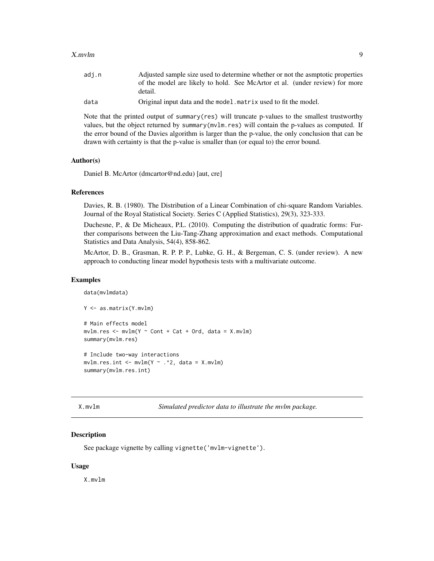#### <span id="page-8-0"></span>X.mvlm 9

| adi.n | Adjusted sample size used to determine whether or not the asmptotic properties |
|-------|--------------------------------------------------------------------------------|
|       | of the model are likely to hold. See McArtor et al. (under review) for more    |
|       | detail.                                                                        |
| data  | Original input data and the model. matrix used to fit the model.               |

Note that the printed output of summary(res) will truncate p-values to the smallest trustworthy values, but the object returned by summary(mvlm.res) will contain the p-values as computed. If the error bound of the Davies algorithm is larger than the p-value, the only conclusion that can be drawn with certainty is that the p-value is smaller than (or equal to) the error bound.

#### Author(s)

Daniel B. McArtor (dmcartor@nd.edu) [aut, cre]

#### References

Davies, R. B. (1980). The Distribution of a Linear Combination of chi-square Random Variables. Journal of the Royal Statistical Society. Series C (Applied Statistics), 29(3), 323-333.

Duchesne, P., & De Micheaux, P.L. (2010). Computing the distribution of quadratic forms: Further comparisons between the Liu-Tang-Zhang approximation and exact methods. Computational Statistics and Data Analysis, 54(4), 858-862.

McArtor, D. B., Grasman, R. P. P. P., Lubke, G. H., & Bergeman, C. S. (under review). A new approach to conducting linear model hypothesis tests with a multivariate outcome.

#### Examples

```
data(mvlmdata)
Y <- as.matrix(Y.mvlm)
# Main effects model
mvlmres < -mvlm(Y ~ cont + Cat + Ord, data = X.mvlm)summary(mvlm.res)
# Include two-way interactions
mvlm.res.int < - mvlm(Y ~ ~ . ~ ^2, data = X.mvlm)summary(mvlm.res.int)
```
X.mvlm *Simulated predictor data to illustrate the mvlm package.*

#### Description

See package vignette by calling vignette('mvlm-vignette').

#### Usage

X.mvlm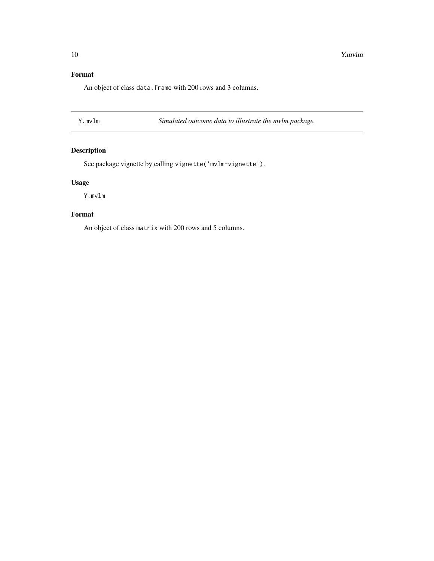#### <span id="page-9-0"></span>Format

An object of class data. frame with 200 rows and 3 columns.

Y.mvlm *Simulated outcome data to illustrate the mvlm package.*

#### Description

See package vignette by calling vignette('mvlm-vignette').

#### Usage

Y.mvlm

### Format

An object of class matrix with 200 rows and 5 columns.